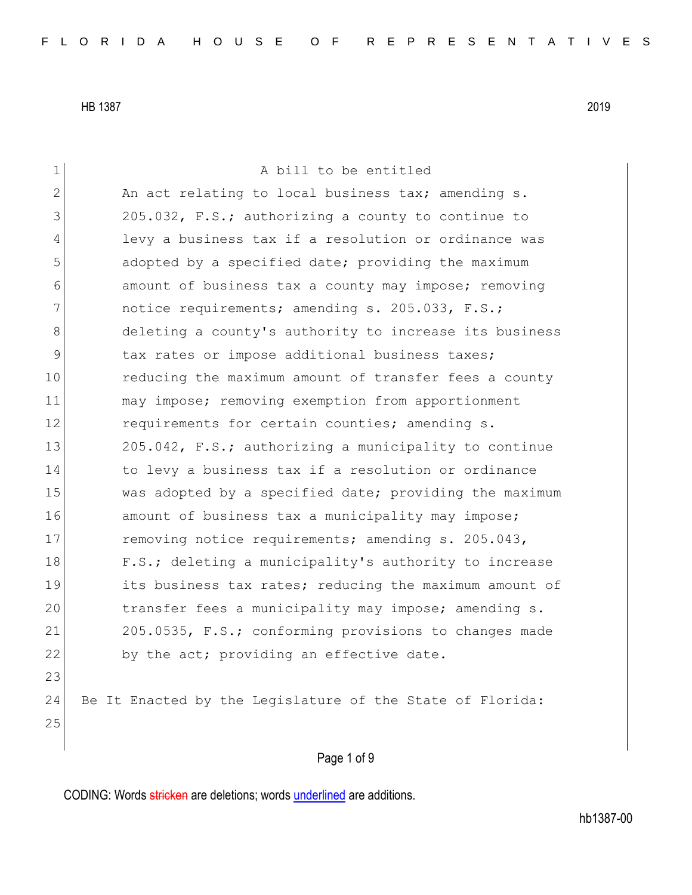1 a bill to be entitled 2 An act relating to local business tax; amending s. 3 205.032, F.S.; authorizing a county to continue to 4 levy a business tax if a resolution or ordinance was 5 adopted by a specified date; providing the maximum 6 6 6 6 amount of business tax a county may impose; removing 7 notice requirements; amending s. 205.033, F.S.; 8 deleting a county's authority to increase its business 9 tax rates or impose additional business taxes; 10 reducing the maximum amount of transfer fees a county 11 may impose; removing exemption from apportionment 12 requirements for certain counties; amending s. 13 205.042, F.S.; authorizing a municipality to continue 14 to levy a business tax if a resolution or ordinance 15 was adopted by a specified date; providing the maximum 16 amount of business tax a municipality may impose; 17 removing notice requirements; amending s. 205.043, 18 F.S.; deleting a municipality's authority to increase 19 its business tax rates; reducing the maximum amount of 20 transfer fees a municipality may impose; amending s. 21 205.0535, F.S.; conforming provisions to changes made 22 by the act; providing an effective date. 23 24 Be It Enacted by the Legislature of the State of Florida: 25

Page 1 of 9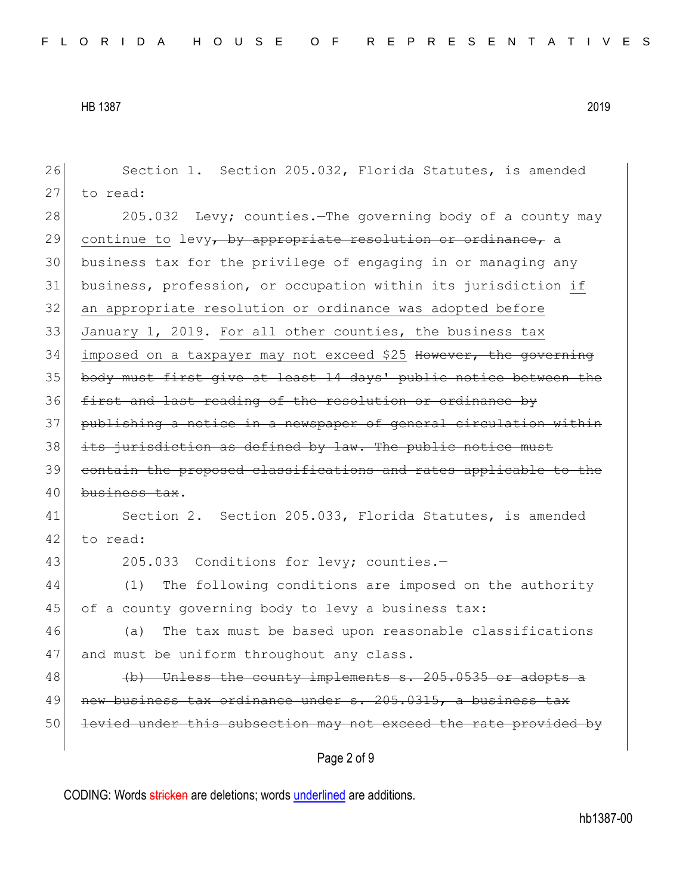Page 2 of 9 26 Section 1. Section 205.032, Florida Statutes, is amended 27 to read: 28 205.032 Levy; counties.—The governing body of a county may 29 continue to levy, by appropriate resolution or ordinance, a 30 business tax for the privilege of engaging in or managing any 31 business, profession, or occupation within its jurisdiction if 32 an appropriate resolution or ordinance was adopted before 33 January 1, 2019. For all other counties, the business tax 34 imposed on a taxpayer may not exceed \$25 However, the governing 35 body must first give at least 14 days' public notice between the 36 first and last reading of the resolution or ordinance by 37 publishing a notice in a newspaper of general circulation within 38 its jurisdiction as defined by law. The public notice must 39 contain the proposed classifications and rates applicable to the 40 business tax. 41 Section 2. Section 205.033, Florida Statutes, is amended 42 to read: 43 205.033 Conditions for levy; counties.-44 (1) The following conditions are imposed on the authority 45 of a county governing body to levy a business tax: 46 (a) The tax must be based upon reasonable classifications 47 and must be uniform throughout any class.  $48$  (b) Unless the county implements s. 205.0535 or adopts a 49 new business tax ordinance under s. 205.0315, a business tax 50 levied under this subsection may not exceed the rate provided by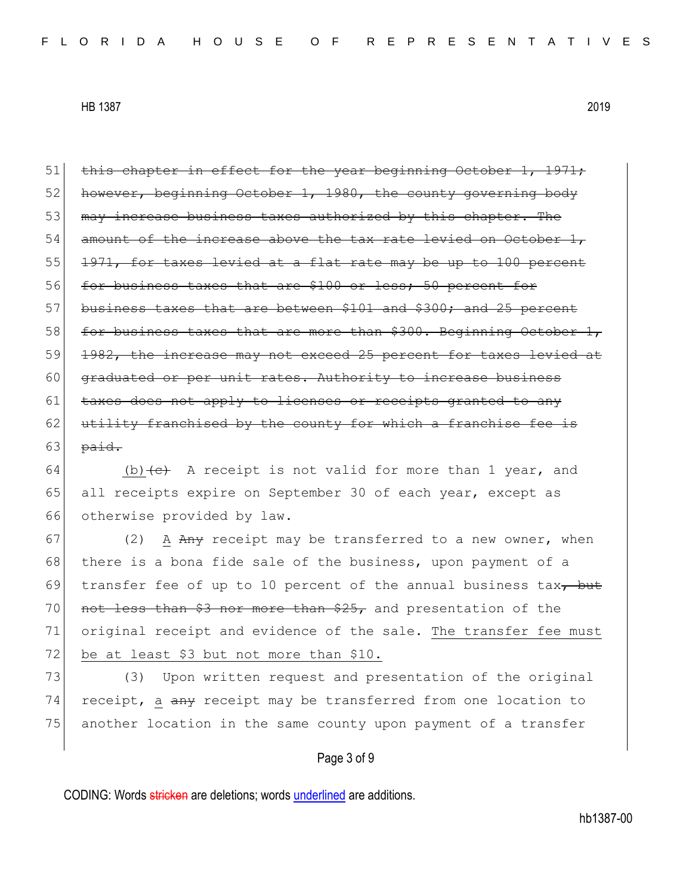$51$  this chapter in effect for the year beginning October 1, 1971; 52 however, beginning October 1, 1980, the county governing body 53 may increase business taxes authorized by this chapter. The 54 amount of the increase above the tax rate levied on October 1, 55 1971, for taxes levied at a flat rate may be up to 100 percent 56 for business taxes that are \$100 or less; 50 percent for 57 business taxes that are between \$101 and \$300; and 25 percent 58 for business taxes that are more than  $$300.$  Beginning October 1, 59 <del>1982, the increase may not exceed 25 percent for taxes levied at</del> 60 graduated or per unit rates. Authority to increase business 61 taxes does not apply to licenses or receipts granted to any  $62$  utility franchised by the county for which a franchise fee is 63  $paid.$ 

64 (b)  $\leftarrow$  A receipt is not valid for more than 1 year, and 65 all receipts expire on September 30 of each year, except as 66 otherwise provided by law.

67 (2) A Any receipt may be transferred to a new owner, when 68 there is a bona fide sale of the business, upon payment of a 69 transfer fee of up to 10 percent of the annual business tax $\tau$  but 70 not less than  $$3$  nor more than  $$25$ , and presentation of the 71 original receipt and evidence of the sale. The transfer fee must 72 be at least \$3 but not more than \$10.

73 (3) Upon written request and presentation of the original 74 receipt, a any receipt may be transferred from one location to 75 another location in the same county upon payment of a transfer

#### Page 3 of 9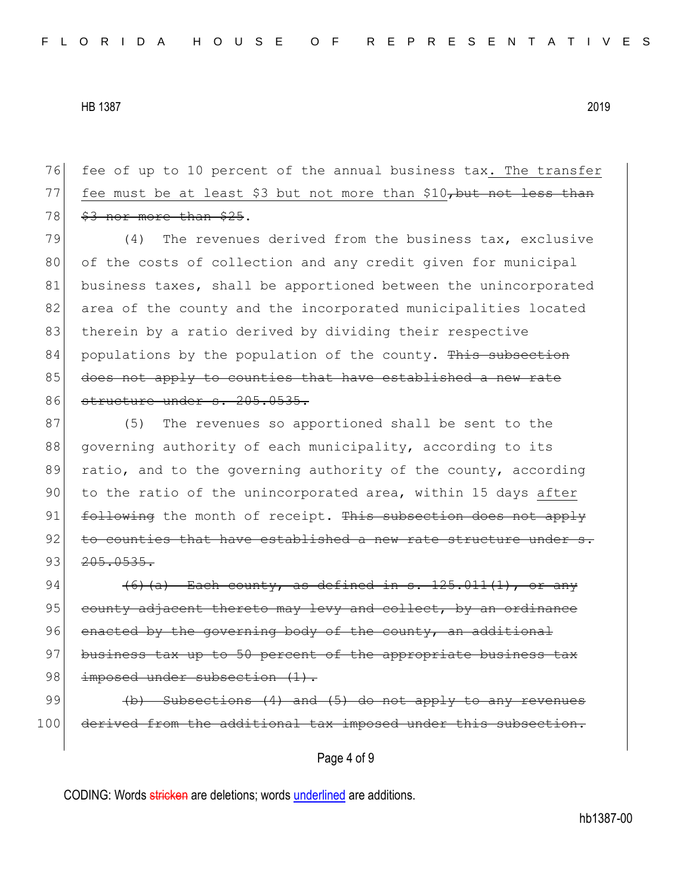76 fee of up to 10 percent of the annual business tax. The transfer 77 fee must be at least \$3 but not more than  $$10<sub>7</sub>$  but not less than  $78$   $$3$  nor more than \$25.

79 (4) The revenues derived from the business tax, exclusive 80 of the costs of collection and any credit given for municipal 81 business taxes, shall be apportioned between the unincorporated 82 area of the county and the incorporated municipalities located 83 therein by a ratio derived by dividing their respective  $84$  populations by the population of the county. This subsection 85 does not apply to counties that have established a new rate 86 structure under s. 205.0535.

87 (5) The revenues so apportioned shall be sent to the 88 governing authority of each municipality, according to its 89 ratio, and to the governing authority of the county, according 90 to the ratio of the unincorporated area, within 15 days after 91 following the month of receipt. This subsection does not apply  $92$  to counties that have established a new rate structure under  $93 \mid 205.0535.$ 

94  $(6)(a)$  Each county, as defined in s. 125.011(1), or any 95 county adjacent thereto may levy and collect, by an ordinance 96 enacted by the governing body of the county, an additional 97 business tax up to 50 percent of the appropriate business tax 98 imposed under subsection (1).

99  $\left(\frac{b}{b}\right)$  Subsections (4) and (5) do not apply to any revenues 100 derived from the additional tax imposed under this subsection.

### Page 4 of 9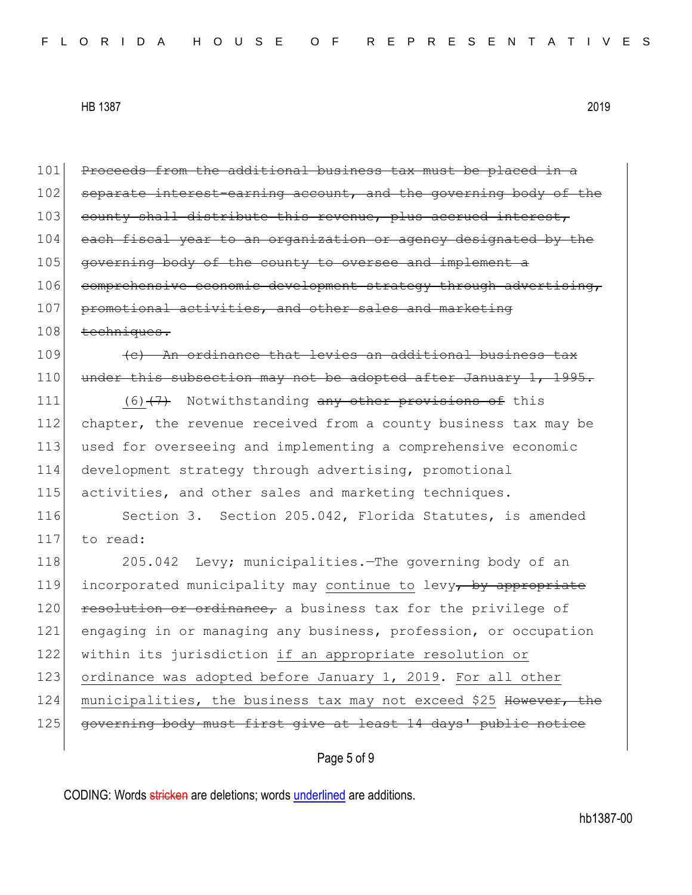101 Proceeds from the additional business tax must be placed in a 102 separate interest-earning account, and the governing body of the 103 county shall distribute this revenue, plus accrued interest, 104 each fiscal year to an organization or agency designated by the 105 governing body of the county to oversee and implement a 106 comprehensive economic development strategy through advertising, 107 promotional activities, and other sales and marketing 108 techniques.  $109$  (c) An ordinance that levies an additional business tax 110 under this subsection may not be adopted after January 1, 1995. 111 (6)<del>(7)</del> Notwithstanding any other provisions of this 112 chapter, the revenue received from a county business tax may be 113 used for overseeing and implementing a comprehensive economic 114 development strategy through advertising, promotional 115 activities, and other sales and marketing techniques. 116 Section 3. Section 205.042, Florida Statutes, is amended 117 to read: 118 205.042 Levy; municipalities.—The governing body of an 119 incorporated municipality may continue to levy, by appropriate 120 resolution or ordinance, a business tax for the privilege of 121 engaging in or managing any business, profession, or occupation 122 within its jurisdiction if an appropriate resolution or 123 ordinance was adopted before January 1, 2019. For all other 124 municipalities, the business tax may not exceed \$25 However, the 125 governing body must first give at least 14 days' public notice

## Page 5 of 9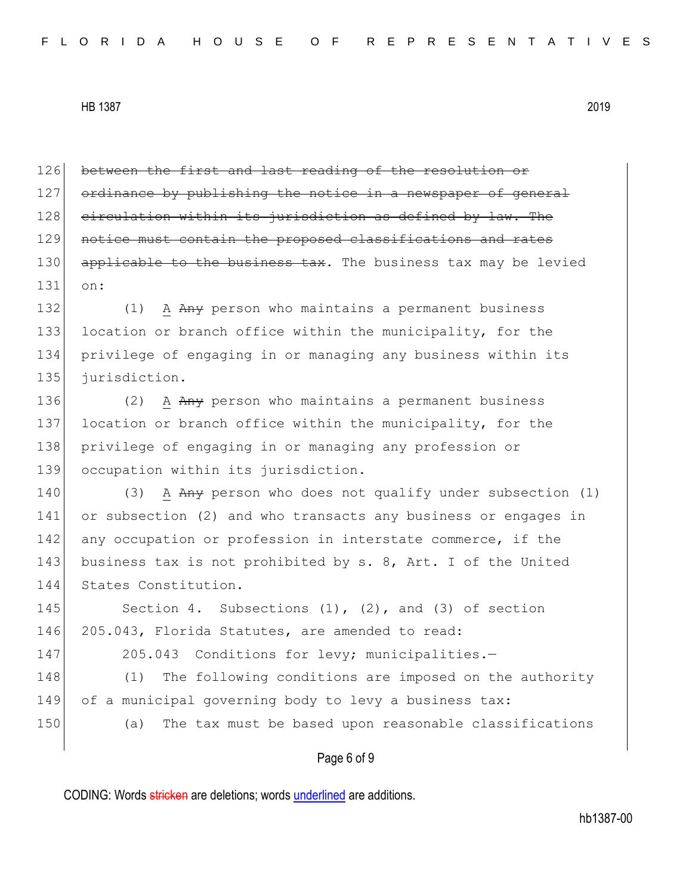126 between the first and last reading of the resolution or 127 ordinance by publishing the notice in a newspaper of general 128 circulation within its jurisdiction as defined by law. The 129 notice must contain the proposed classifications and rates 130 applicable to the business tax. The business tax may be levied 131 on:

132 (1) A Any person who maintains a permanent business 133 location or branch office within the municipality, for the 134 privilege of engaging in or managing any business within its 135 jurisdiction.

136 (2) A Any person who maintains a permanent business 137 location or branch office within the municipality, for the 138 privilege of engaging in or managing any profession or 139 occupation within its jurisdiction.

140 (3) A  $A_{\text{H}}$  person who does not qualify under subsection (1) 141 or subsection (2) and who transacts any business or engages in 142 any occupation or profession in interstate commerce, if the 143 business tax is not prohibited by s. 8, Art. I of the United 144 States Constitution.

145 Section 4. Subsections (1), (2), and (3) of section 146 205.043, Florida Statutes, are amended to read:

147 205.043 Conditions for levy; municipalities.-

148 (1) The following conditions are imposed on the authority 149 of a municipal governing body to levy a business tax: 150 (a) The tax must be based upon reasonable classifications

#### Page 6 of 9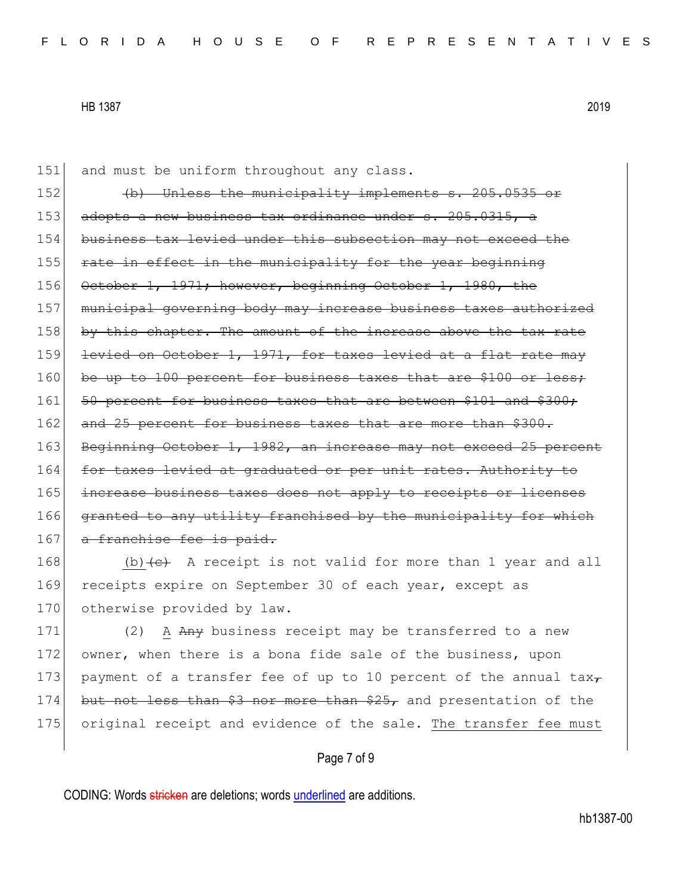151 and must be uniform throughout any class. 152 (b) Unless the municipality implements s. 205.0535 or 153 adopts a new business tax ordinance under s. 205.0315, 154 business tax levied under this subsection may not exceed the 155 rate in effect in the municipality for the year beginning 156 October 1, 1971; however, beginning October 1, 1980, the 157 municipal governing body may increase business taxes authorized 158 by this chapter. The amount of the increase above the tax rate 159 levied on October 1, 1971, for taxes levied at a flat rate may 160 be up to 100 percent for business taxes that are \$100 or less; 161 50 percent for business taxes that are between \$101 and \$300; 162 and 25 percent for business taxes that are more than \$300. 163 Beginning October 1, 1982, an increase may not exceed 25 percent 164 for taxes levied at graduated or per unit rates. Authority to 165 increase business taxes does not apply to receipts or licenses 166 granted to any utility franchised by the municipality for which 167 a franchise fee is paid.

168 (b)  $\left\{e\right\}$  A receipt is not valid for more than 1 year and all 169 receipts expire on September 30 of each year, except as 170 otherwise provided by law.

171 (2) A Any business receipt may be transferred to a new 172 owner, when there is a bona fide sale of the business, upon 173 payment of a transfer fee of up to 10 percent of the annual tax $\tau$ 174 but not less than \$3 nor more than \$25, and presentation of the 175 original receipt and evidence of the sale. The transfer fee must

#### Page 7 of 9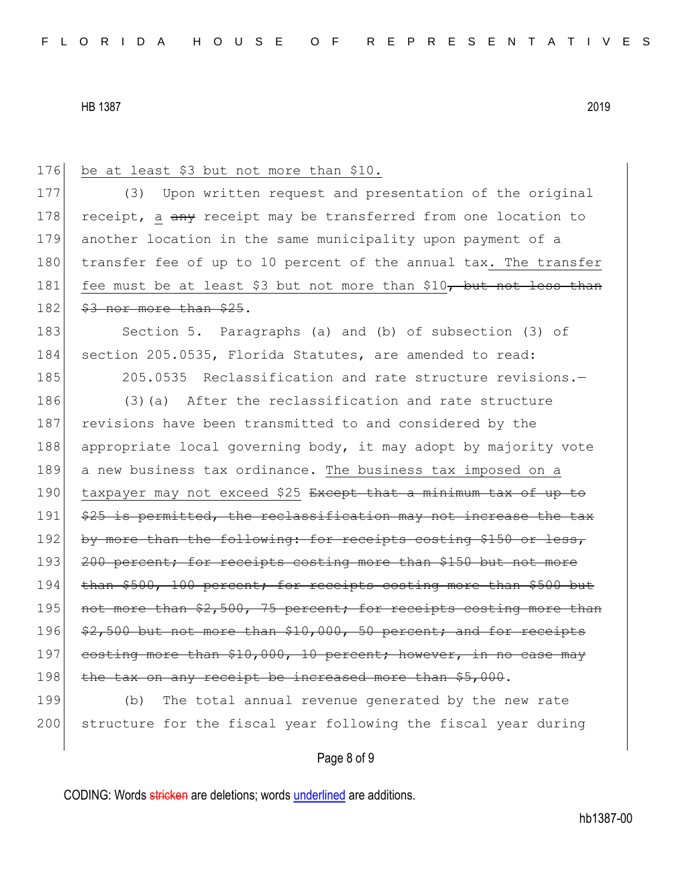| 176 | be at least \$3 but not more than \$10.                            |
|-----|--------------------------------------------------------------------|
| 177 | Upon written request and presentation of the original<br>(3)       |
| 178 | receipt, a any receipt may be transferred from one location to     |
| 179 | another location in the same municipality upon payment of a        |
| 180 | transfer fee of up to 10 percent of the annual tax. The transfer   |
| 181 | fee must be at least \$3 but not more than \$10, but not less than |
| 182 | \$3 nor more than \$25.                                            |
| 183 | Section 5. Paragraphs (a) and (b) of subsection (3) of             |
| 184 | section 205.0535, Florida Statutes, are amended to read:           |
| 185 | 205.0535 Reclassification and rate structure revisions.-           |
| 186 | After the reclassification and rate structure<br>$(3)$ (a)         |
| 187 | revisions have been transmitted to and considered by the           |
| 188 | appropriate local governing body, it may adopt by majority vote    |
| 189 | a new business tax ordinance. The business tax imposed on a        |
| 190 | taxpayer may not exceed \$25 Except that a minimum tax of up to    |
| 191 | \$25 is permitted, the reclassification may not increase the tax   |
| 192 | by more than the following: for receipts costing \$150 or less,    |
| 193 | 200 percent; for receipts costing more than \$150 but not more     |
| 194 | than \$500, 100 percent; for receipts costing more than \$500 but  |
| 195 | not more than \$2,500, 75 percent; for receipts costing more than  |
| 196 | \$2,500 but not more than \$10,000, 50 percent; and for receipts   |
| 197 | costing more than \$10,000, 10 percent; however, in no case may    |
| 198 | the tax on any receipt be increased more than \$5,000.             |
| 199 | The total annual revenue generated by the new rate<br>(b)          |
| 200 | structure for the fiscal year following the fiscal year during     |
|     |                                                                    |

# Page 8 of 9